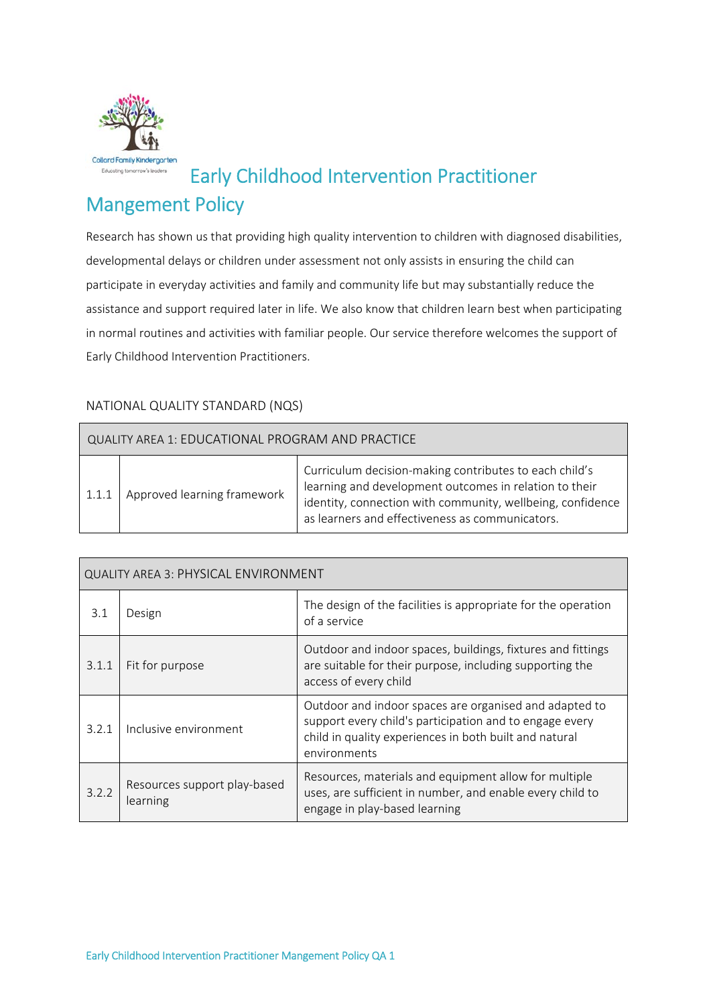

# Early Childhood Intervention Practitioner

## Mangement Policy

Research has shown us that providing high quality intervention to children with diagnosed disabilities, developmental delays or children under assessment not only assists in ensuring the child can participate in everyday activities and family and community life but may substantially reduce the assistance and support required later in life. We also know that children learn best when participating in normal routines and activities with familiar people. Our service therefore welcomes the support of Early Childhood Intervention Practitioners.

## NATIONAL QUALITY STANDARD (NQS)

| QUALITY AREA 1: EDUCATIONAL PROGRAM AND PRACTICE |                             |                                                                                                                                                                                                                                   |  |  |
|--------------------------------------------------|-----------------------------|-----------------------------------------------------------------------------------------------------------------------------------------------------------------------------------------------------------------------------------|--|--|
| 1.1.1                                            | Approved learning framework | Curriculum decision-making contributes to each child's<br>learning and development outcomes in relation to their<br>identity, connection with community, wellbeing, confidence<br>as learners and effectiveness as communicators. |  |  |

| QUALITY AREA 3: PHYSICAL ENVIRONMENT |                                          |                                                                                                                                                                                             |  |  |
|--------------------------------------|------------------------------------------|---------------------------------------------------------------------------------------------------------------------------------------------------------------------------------------------|--|--|
| 3.1                                  | Design                                   | The design of the facilities is appropriate for the operation<br>of a service                                                                                                               |  |  |
| 3.1.1                                | Fit for purpose                          | Outdoor and indoor spaces, buildings, fixtures and fittings<br>are suitable for their purpose, including supporting the<br>access of every child                                            |  |  |
| 3.2.1                                | Inclusive environment                    | Outdoor and indoor spaces are organised and adapted to<br>support every child's participation and to engage every<br>child in quality experiences in both built and natural<br>environments |  |  |
| 3.2.2                                | Resources support play-based<br>learning | Resources, materials and equipment allow for multiple<br>uses, are sufficient in number, and enable every child to<br>engage in play-based learning                                         |  |  |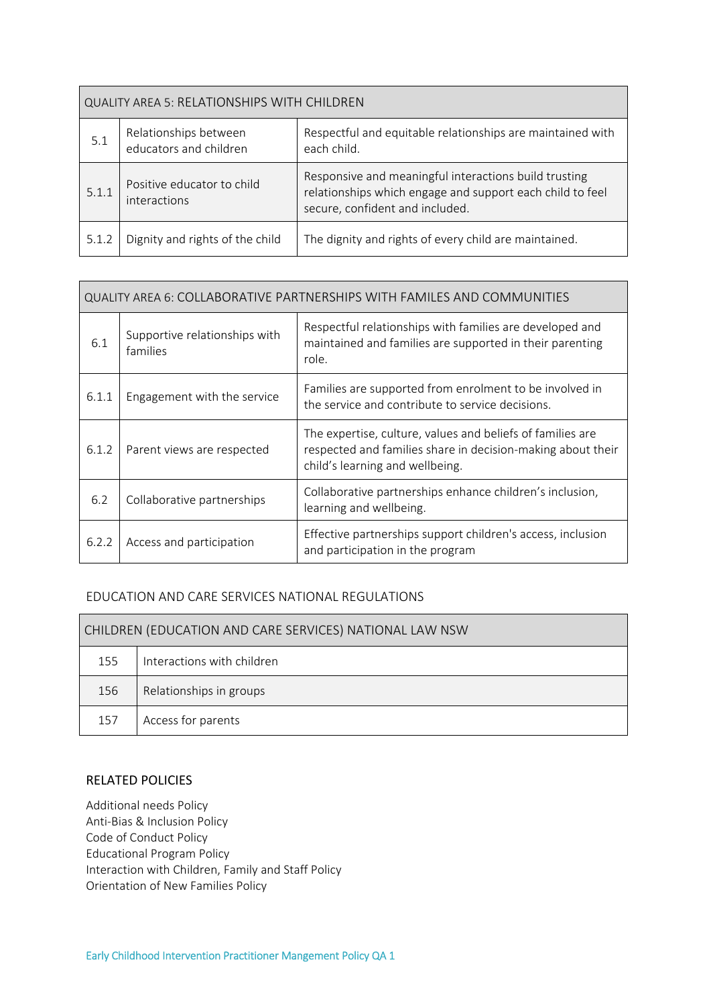| <b>QUALITY AREA 5: RELATIONSHIPS WITH CHILDREN</b> |                                                                                                                                                                                                     |                                                                           |  |  |  |
|----------------------------------------------------|-----------------------------------------------------------------------------------------------------------------------------------------------------------------------------------------------------|---------------------------------------------------------------------------|--|--|--|
| 5.1                                                | Relationships between<br>educators and children                                                                                                                                                     | Respectful and equitable relationships are maintained with<br>each child. |  |  |  |
| 5.1.1                                              | Responsive and meaningful interactions build trusting<br>Positive educator to child<br>relationships which engage and support each child to feel<br>interactions<br>secure, confident and included. |                                                                           |  |  |  |
| 5.1.2                                              | Dignity and rights of the child                                                                                                                                                                     | The dignity and rights of every child are maintained.                     |  |  |  |

| QUALITY AREA 6: COLLABORATIVE PARTNERSHIPS WITH FAMILES AND COMMUNITIES |                                           |                                                                                                                                                              |  |  |
|-------------------------------------------------------------------------|-------------------------------------------|--------------------------------------------------------------------------------------------------------------------------------------------------------------|--|--|
| 6.1                                                                     | Supportive relationships with<br>families | Respectful relationships with families are developed and<br>maintained and families are supported in their parenting<br>role.                                |  |  |
| 6.1.1                                                                   | Engagement with the service               | Families are supported from enrolment to be involved in<br>the service and contribute to service decisions.                                                  |  |  |
| 6.1.2                                                                   | Parent views are respected                | The expertise, culture, values and beliefs of families are<br>respected and families share in decision-making about their<br>child's learning and wellbeing. |  |  |
| 6.2                                                                     | Collaborative partnerships                | Collaborative partnerships enhance children's inclusion,<br>learning and wellbeing.                                                                          |  |  |
| 6.2.2                                                                   | Access and participation                  | Effective partnerships support children's access, inclusion<br>and participation in the program                                                              |  |  |

#### EDUCATION AND CARE SERVICES NATIONAL REGULATIONS

| CHILDREN (EDUCATION AND CARE SERVICES) NATIONAL LAW NSW |                            |  |
|---------------------------------------------------------|----------------------------|--|
| 155                                                     | Interactions with children |  |
| 156                                                     | Relationships in groups    |  |
| 157                                                     | Access for parents         |  |

#### RELATED POLICIES

Additional needs Policy Anti‐Bias & Inclusion Policy Code of Conduct Policy Educational Program Policy Interaction with Children, Family and Staff Policy Orientation of New Families Policy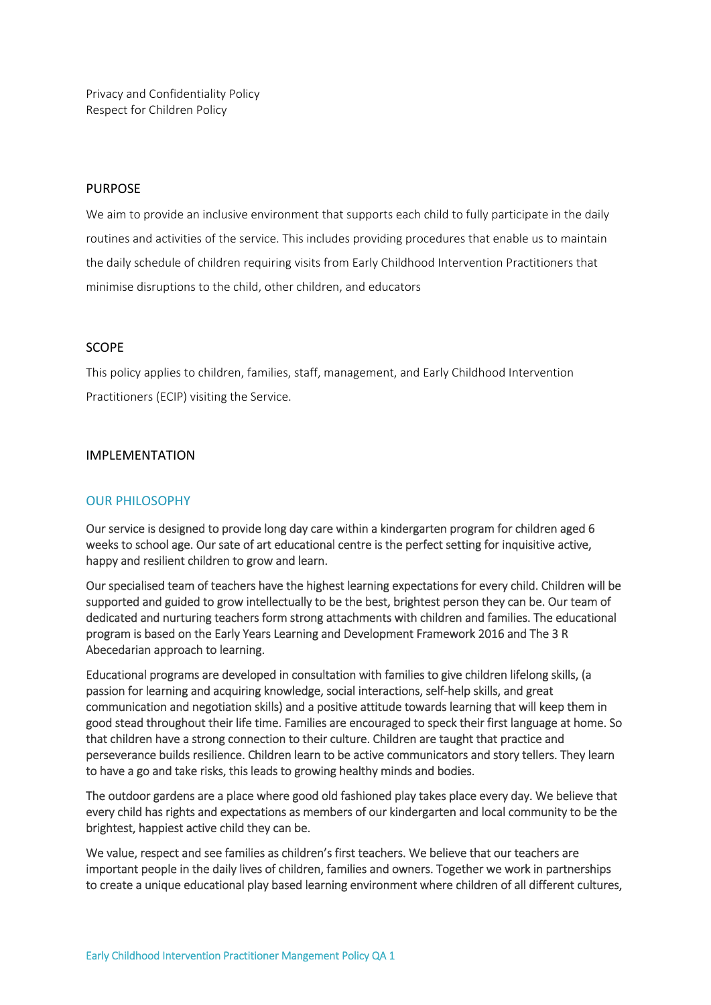Privacy and Confidentiality Policy Respect for Children Policy

#### PURPOSE

We aim to provide an inclusive environment that supports each child to fully participate in the daily routines and activities of the service. This includes providing procedures that enable us to maintain the daily schedule of children requiring visits from Early Childhood Intervention Practitioners that minimise disruptions to the child, other children, and educators

#### SCOPE

This policy applies to children, families, staff, management, and Early Childhood Intervention Practitioners (ECIP) visiting the Service.

#### IMPLEMENTATION

#### OUR PHILOSOPHY

Our service is designed to provide long day care within a kindergarten program for children aged 6 weeks to school age. Our sate of art educational centre is the perfect setting for inquisitive active, happy and resilient children to grow and learn.

Our specialised team of teachers have the highest learning expectations for every child. Children will be supported and guided to grow intellectually to be the best, brightest person they can be. Our team of dedicated and nurturing teachers form strong attachments with children and families. The educational program is based on the Early Years Learning and Development Framework 2016 and The 3 R Abecedarian approach to learning.

Educational programs are developed in consultation with families to give children lifelong skills, (a passion for learning and acquiring knowledge, social interactions, self‐help skills, and great communication and negotiation skills) and a positive attitude towards learning that will keep them in good stead throughout their life time. Families are encouraged to speck their first language at home. So that children have a strong connection to their culture. Children are taught that practice and perseverance builds resilience. Children learn to be active communicators and story tellers. They learn to have a go and take risks, this leads to growing healthy minds and bodies.

The outdoor gardens are a place where good old fashioned play takes place every day. We believe that every child has rights and expectations as members of our kindergarten and local community to be the brightest, happiest active child they can be.

We value, respect and see families as children's first teachers. We believe that our teachers are important people in the daily lives of children, families and owners. Together we work in partnerships to create a unique educational play based learning environment where children of all different cultures,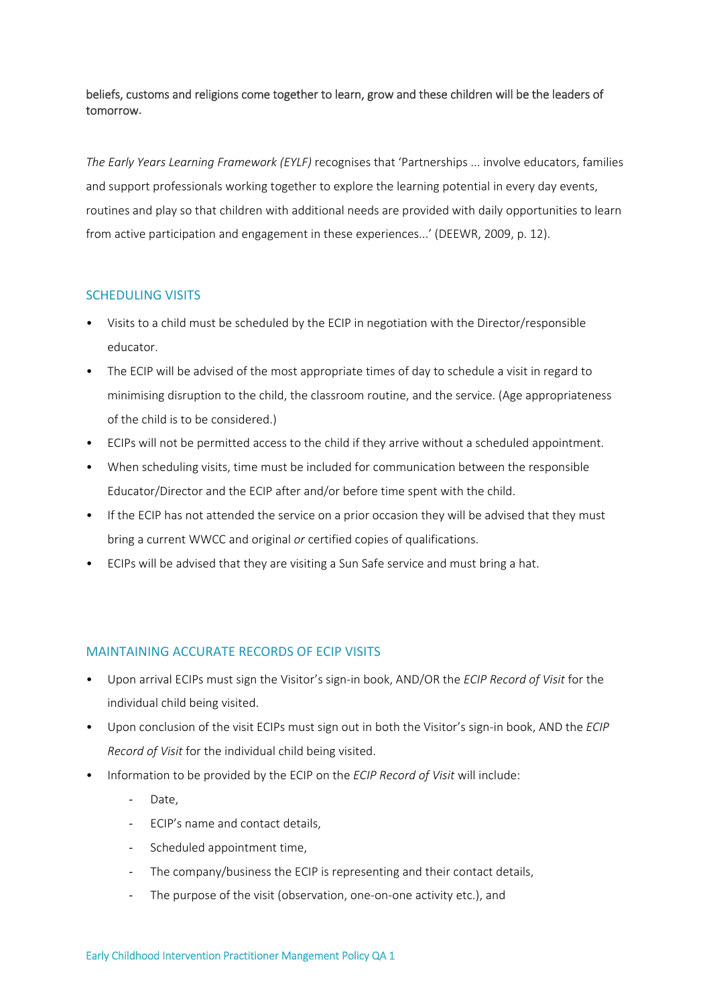beliefs, customs and religions come together to learn, grow and these children will be the leaders of tomorrow.

*The Early Years Learning Framework (EYLF)* recognises that 'Partnerships ... involve educators, families and support professionals working together to explore the learning potential in every day events, routines and play so that children with additional needs are provided with daily opportunities to learn from active participation and engagement in these experiences...' (DEEWR, 2009, p. 12).

## SCHEDULING VISITS

- Visits to a child must be scheduled by the ECIP in negotiation with the Director/responsible educator.
- The ECIP will be advised of the most appropriate times of day to schedule a visit in regard to minimising disruption to the child, the classroom routine, and the service. (Age appropriateness of the child is to be considered.)
- ECIPs will not be permitted access to the child if they arrive without a scheduled appointment.
- When scheduling visits, time must be included for communication between the responsible Educator/Director and the ECIP after and/or before time spent with the child.
- If the ECIP has not attended the service on a prior occasion they will be advised that they must bring a current WWCC and original *or* certified copies of qualifications.
- ECIPs will be advised that they are visiting a Sun Safe service and must bring a hat.

#### MAINTAINING ACCURATE RECORDS OF ECIP VISITS

- Upon arrival ECIPs must sign the Visitor's sign‐in book, AND/OR the *ECIP Record of Visit* for the individual child being visited.
- Upon conclusion of the visit ECIPs must sign out in both the Visitor's sign‐in book, AND the *ECIP Record of Visit* for the individual child being visited.
- Information to be provided by the ECIP on the *ECIP Record of Visit* will include:
	- Date,
	- ‐ ECIP's name and contact details,
	- ‐ Scheduled appointment time,
	- ‐ The company/business the ECIP is representing and their contact details,
	- ‐ The purpose of the visit (observation, one‐on‐one activity etc.), and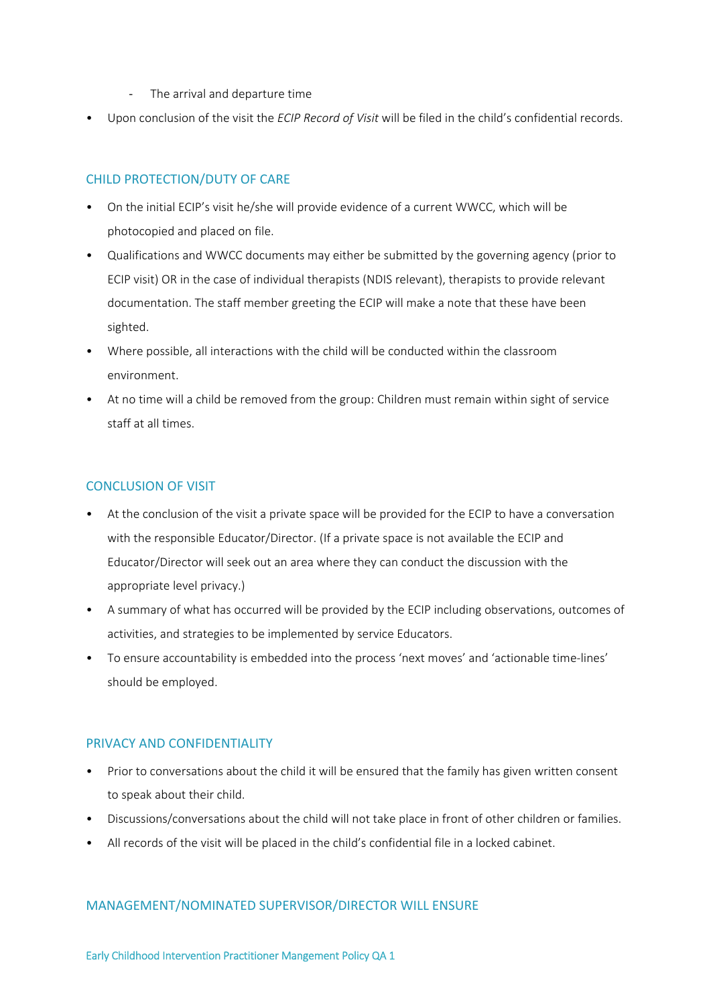- ‐ The arrival and departure time
- Upon conclusion of the visit the *ECIP Record of Visit* will be filed in the child's confidential records.

## CHILD PROTECTION/DUTY OF CARE

- On the initial ECIP's visit he/she will provide evidence of a current WWCC, which will be photocopied and placed on file.
- Qualifications and WWCC documents may either be submitted by the governing agency (prior to ECIP visit) OR in the case of individual therapists (NDIS relevant), therapists to provide relevant documentation. The staff member greeting the ECIP will make a note that these have been sighted.
- Where possible, all interactions with the child will be conducted within the classroom environment.
- At no time will a child be removed from the group: Children must remain within sight of service staff at all times.

## CONCLUSION OF VISIT

- At the conclusion of the visit a private space will be provided for the ECIP to have a conversation with the responsible Educator/Director. (If a private space is not available the ECIP and Educator/Director will seek out an area where they can conduct the discussion with the appropriate level privacy.)
- A summary of what has occurred will be provided by the ECIP including observations, outcomes of activities, and strategies to be implemented by service Educators.
- To ensure accountability is embedded into the process 'next moves' and 'actionable time‐lines' should be employed.

#### PRIVACY AND CONFIDENTIALITY

- Prior to conversations about the child it will be ensured that the family has given written consent to speak about their child.
- Discussions/conversations about the child will not take place in front of other children or families.
- All records of the visit will be placed in the child's confidential file in a locked cabinet.

#### MANAGEMENT/NOMINATED SUPERVISOR/DIRECTOR WILL ENSURE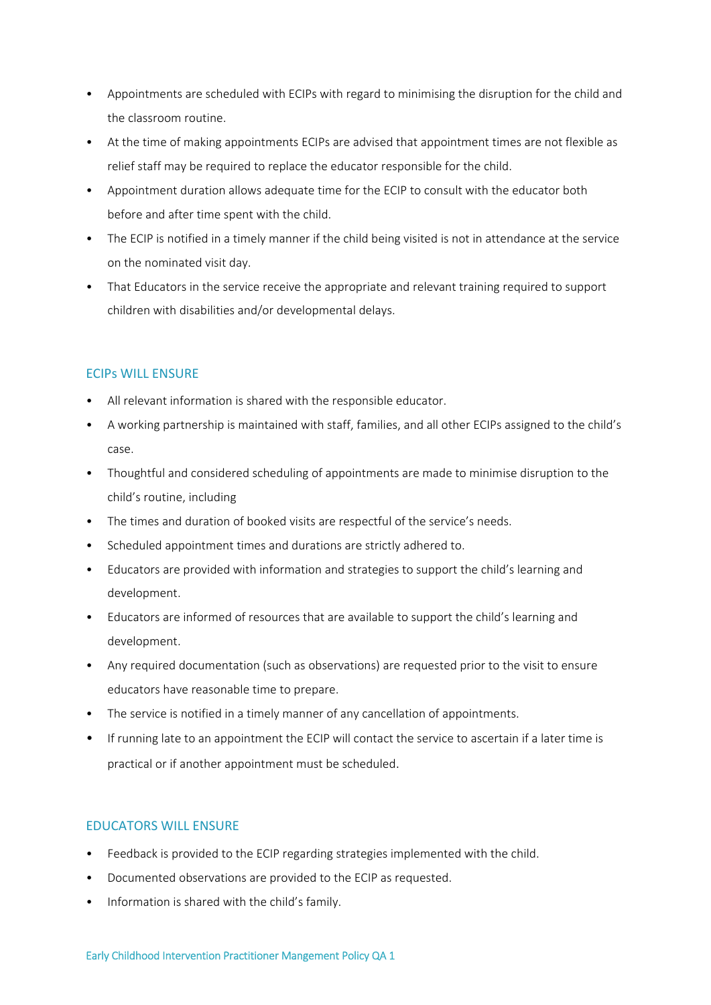- Appointments are scheduled with ECIPs with regard to minimising the disruption for the child and the classroom routine.
- At the time of making appointments ECIPs are advised that appointment times are not flexible as relief staff may be required to replace the educator responsible for the child.
- Appointment duration allows adequate time for the ECIP to consult with the educator both before and after time spent with the child.
- The ECIP is notified in a timely manner if the child being visited is not in attendance at the service on the nominated visit day.
- That Educators in the service receive the appropriate and relevant training required to support children with disabilities and/or developmental delays.

## ECIPs WILL ENSURE

- All relevant information is shared with the responsible educator.
- A working partnership is maintained with staff, families, and all other ECIPs assigned to the child's case.
- Thoughtful and considered scheduling of appointments are made to minimise disruption to the child's routine, including
- The times and duration of booked visits are respectful of the service's needs.
- Scheduled appointment times and durations are strictly adhered to.
- Educators are provided with information and strategies to support the child's learning and development.
- Educators are informed of resources that are available to support the child's learning and development.
- Any required documentation (such as observations) are requested prior to the visit to ensure educators have reasonable time to prepare.
- The service is notified in a timely manner of any cancellation of appointments.
- If running late to an appointment the ECIP will contact the service to ascertain if a later time is practical or if another appointment must be scheduled.

## EDUCATORS WILL ENSURE

- Feedback is provided to the ECIP regarding strategies implemented with the child.
- Documented observations are provided to the ECIP as requested.
- Information is shared with the child's family.